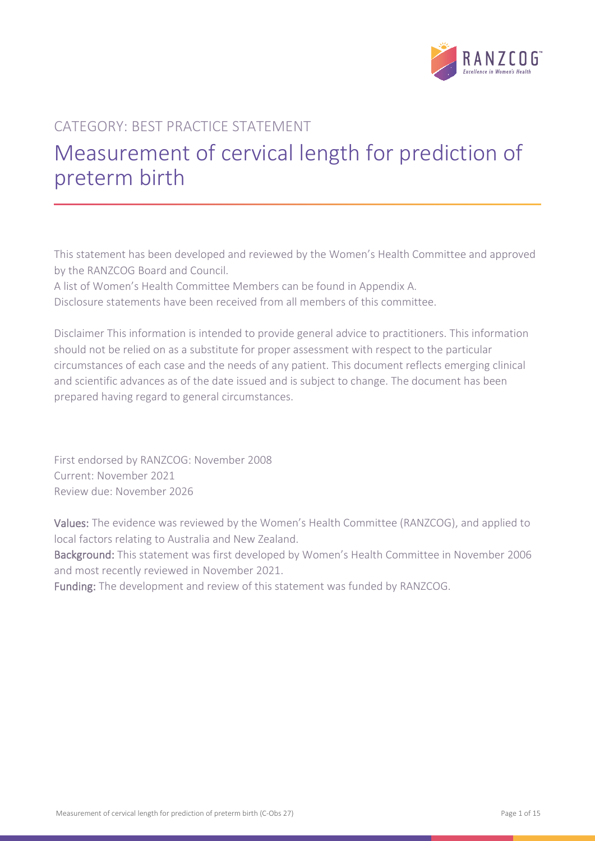

# CATEGORY: BEST PRACTICE STATEMENT Measurement of cervical length for prediction of preterm birth

This statement has been developed and reviewed by the Women's Health Committee and approved by the RANZCOG Board and Council.

A list of Women's Health Committee Members can be found in Appendix A.

Disclosure statements have been received from all members of this committee.

Disclaimer This information is intended to provide general advice to practitioners. This information should not be relied on as a substitute for proper assessment with respect to the particular circumstances of each case and the needs of any patient. This document reflects emerging clinical and scientific advances as of the date issued and is subject to change. The document has been prepared having regard to general circumstances.

First endorsed by RANZCOG: November 2008 Current: November 2021 Review due: November 2026

Values: The evidence was reviewed by the Women's Health Committee (RANZCOG), and applied to local factors relating to Australia and New Zealand.

Background: This statement was first developed by Women's Health Committee in November 2006 and most recently reviewed in November 2021.

Funding: The development and review of this statement was funded by RANZCOG.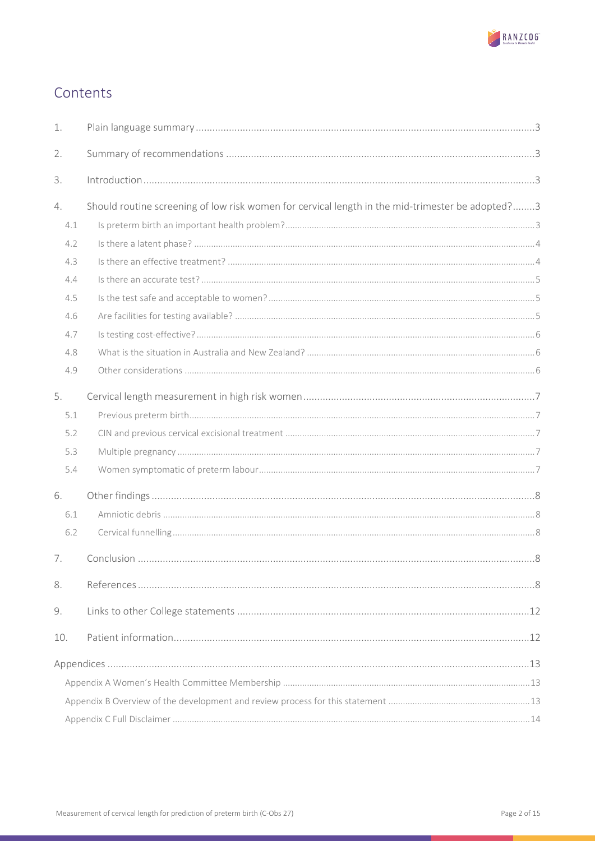

# Contents

| 1.  |                                                                                                  |  |
|-----|--------------------------------------------------------------------------------------------------|--|
| 2.  |                                                                                                  |  |
| 3.  |                                                                                                  |  |
| 4.  | Should routine screening of low risk women for cervical length in the mid-trimester be adopted?3 |  |
| 4.1 |                                                                                                  |  |
| 4.2 |                                                                                                  |  |
| 4.3 |                                                                                                  |  |
| 4.4 |                                                                                                  |  |
| 4.5 |                                                                                                  |  |
| 4.6 |                                                                                                  |  |
| 4.7 |                                                                                                  |  |
| 4.8 |                                                                                                  |  |
| 4.9 |                                                                                                  |  |
| 5.  |                                                                                                  |  |
| 5.1 |                                                                                                  |  |
| 5.2 |                                                                                                  |  |
| 5.3 |                                                                                                  |  |
| 5.4 |                                                                                                  |  |
| 6.  |                                                                                                  |  |
| 6.1 |                                                                                                  |  |
| 6.2 |                                                                                                  |  |
| 7.  |                                                                                                  |  |
| 8.  |                                                                                                  |  |
| 9.  |                                                                                                  |  |
| 10. |                                                                                                  |  |
|     |                                                                                                  |  |
|     |                                                                                                  |  |
|     |                                                                                                  |  |
|     |                                                                                                  |  |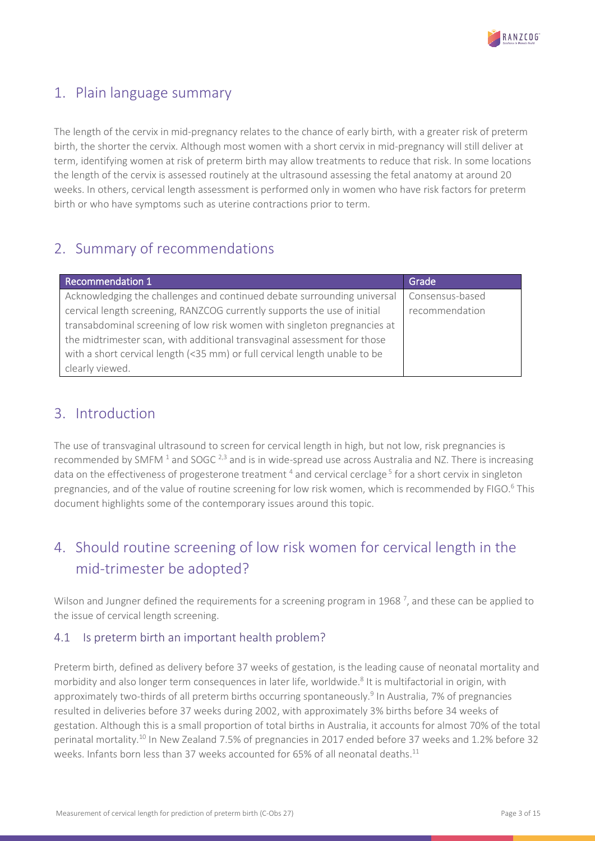

## <span id="page-2-0"></span>1. Plain language summary

The length of the cervix in mid-pregnancy relates to the chance of early birth, with a greater risk of preterm birth, the shorter the cervix. Although most women with a short cervix in mid-pregnancy will still deliver at term, identifying women at risk of preterm birth may allow treatments to reduce that risk. In some locations the length of the cervix is assessed routinely at the ultrasound assessing the fetal anatomy at around 20 weeks. In others, cervical length assessment is performed only in women who have risk factors for preterm birth or who have symptoms such as uterine contractions prior to term.

## <span id="page-2-1"></span>2. Summary of recommendations

| <b>Recommendation 1</b>                                                    | Grade           |
|----------------------------------------------------------------------------|-----------------|
| Acknowledging the challenges and continued debate surrounding universal    | Consensus-based |
| cervical length screening, RANZCOG currently supports the use of initial   | recommendation  |
| transabdominal screening of low risk women with singleton pregnancies at   |                 |
| the midtrimester scan, with additional transvaginal assessment for those   |                 |
| with a short cervical length (<35 mm) or full cervical length unable to be |                 |
| clearly viewed.                                                            |                 |

### <span id="page-2-2"></span>3. Introduction

The use of transvaginal ultrasound to screen for cervical length in high, but not low, risk pregnancies is recommended by SMFM  $^1$  and SOGC  $^{2,3}$  and is in wide-spread use across Australia and NZ. There is increasing data on the effectiveness of progesterone treatment <sup>4</sup> and cervical cerclage<sup>5</sup> for a short cervix in singleton pregnancies, and of the value of routine screening for low risk women, which is recommended by FIGO.<sup>6</sup> This document highlights some of the contemporary issues around this topic.

# <span id="page-2-3"></span>4. Should routine screening of low risk women for cervical length in the mid-trimester be adopted?

Wilson and Jungner defined the requirements for a screening program in 1968<sup>7</sup>, and these can be applied to the issue of cervical length screening.

### <span id="page-2-4"></span>4.1 Is preterm birth an important health problem?

Preterm birth, defined as delivery before 37 weeks of gestation, is the leading cause of neonatal mortality and morbidity and also longer term consequences in later life, worldwide.<sup>8</sup> It is multifactorial in origin, with approximately two-thirds of all preterm births occurring spontaneously.<sup>9</sup> In Australia, 7% of pregnancies resulted in deliveries before 37 weeks during 2002, with approximately 3% births before 34 weeks of gestation. Although this is a small proportion of total births in Australia, it accounts for almost 70% of the total perinatal mortality.10 In New Zealand 7.5% of pregnancies in 2017 ended before 37 weeks and 1.2% before 32 weeks. Infants born less than 37 weeks accounted for 65% of all neonatal deaths.<sup>11</sup>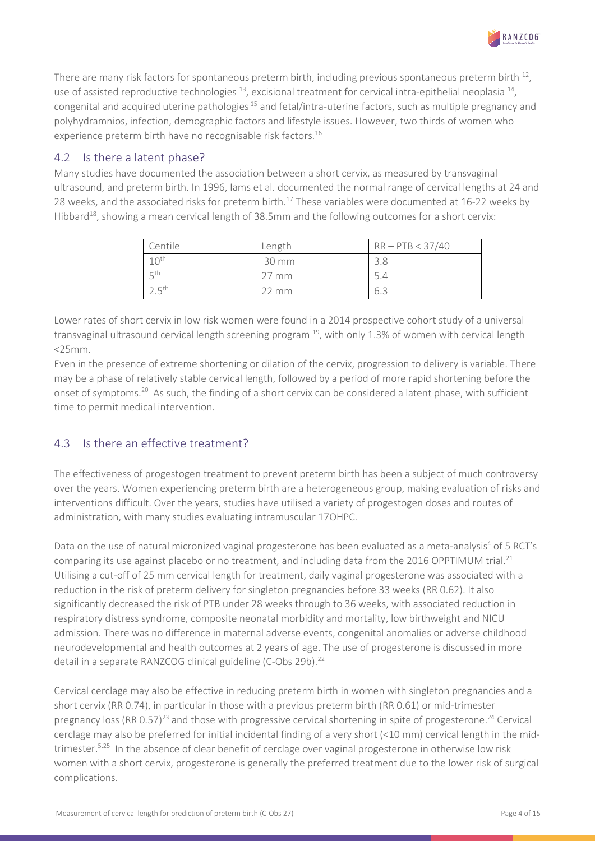There are many risk factors for spontaneous preterm birth, including previous spontaneous preterm birth  $^{12}$ , use of assisted reproductive technologies  $^{13}$ , excisional treatment for cervical intra-epithelial neoplasia  $^{14}$ , congenital and acquired uterine pathologies <sup>15</sup> and fetal/intra-uterine factors, such as multiple pregnancy and polyhydramnios, infection, demographic factors and lifestyle issues. However, two thirds of women who experience preterm birth have no recognisable risk factors.<sup>16</sup>

### <span id="page-3-0"></span>4.2 Is there a latent phase?

Many studies have documented the association between a short cervix, as measured by transvaginal ultrasound, and preterm birth. In 1996, Iams et al. documented the normal range of cervical lengths at 24 and 28 weeks, and the associated risks for preterm birth.<sup>17</sup> These variables were documented at 16-22 weeks by Hibbard<sup>18</sup>, showing a mean cervical length of 38.5mm and the following outcomes for a short cervix:

| Centile                | Length          | $RR - PTB < 37/40$ |
|------------------------|-----------------|--------------------|
| 1 $\cap$ <sup>th</sup> | 30 mm           | 3.8                |
| $E$ <sup>th</sup>      | $27 \text{ mm}$ | 5.4                |
| – ⊏th                  | $22 \text{ mm}$ | 6.3                |

Lower rates of short cervix in low risk women were found in a 2014 prospective cohort study of a universal transvaginal ultrasound cervical length screening program  $^{19}$ , with only 1.3% of women with cervical length <25mm.

Even in the presence of extreme shortening or dilation of the cervix, progression to delivery is variable. There may be a phase of relatively stable cervical length, followed by a period of more rapid shortening before the onset of symptoms.20 As such, the finding of a short cervix can be considered a latent phase, with sufficient time to permit medical intervention.

### <span id="page-3-1"></span>4.3 Is there an effective treatment?

The effectiveness of progestogen treatment to prevent preterm birth has been a subject of much controversy over the years. Women experiencing preterm birth are a heterogeneous group, making evaluation of risks and interventions difficult. Over the years, studies have utilised a variety of progestogen doses and routes of administration, with many studies evaluating intramuscular 17OHPC.

Data on the use of natural micronized vaginal progesterone has been evaluated as a meta-analysis<sup>4</sup> of 5 RCT's comparing its use against placebo or no treatment, and including data from the 2016 OPPTIMUM trial.<sup>21</sup> Utilising a cut-off of 25 mm cervical length for treatment, daily vaginal progesterone was associated with a reduction in the risk of preterm delivery for singleton pregnancies before 33 weeks (RR 0.62). It also significantly decreased the risk of PTB under 28 weeks through to 36 weeks, with associated reduction in respiratory distress syndrome, composite neonatal morbidity and mortality, low birthweight and NICU admission. There was no difference in maternal adverse events, congenital anomalies or adverse childhood neurodevelopmental and health outcomes at 2 years of age. The use of progesterone is discussed in more detail in a separate RANZCOG clinical guideline (C-Obs 29b).<sup>22</sup>

Cervical cerclage may also be effective in reducing preterm birth in women with singleton pregnancies and a short cervix (RR 0.74), in particular in those with a previous preterm birth (RR 0.61) or mid-trimester pregnancy loss  $(RR 0.57)^{23}$  and those with progressive cervical shortening in spite of progesterone.<sup>24</sup> Cervical cerclage may also be preferred for initial incidental finding of a very short (<10 mm) cervical length in the midtrimester.<sup>5,25</sup> In the absence of clear benefit of cerclage over vaginal progesterone in otherwise low risk women with a short cervix, progesterone is generally the preferred treatment due to the lower risk of surgical complications.

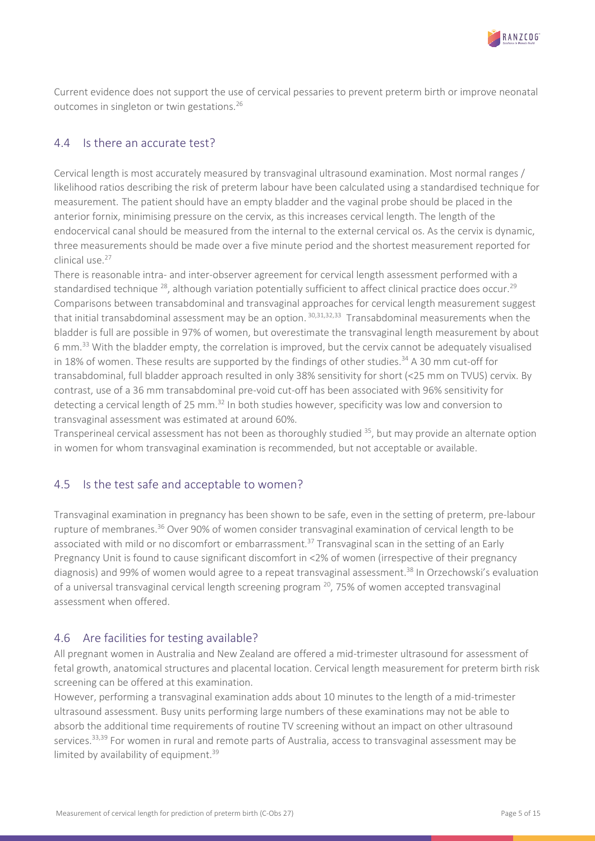

Current evidence does not support the use of cervical pessaries to prevent preterm birth or improve neonatal outcomes in singleton or twin gestations.26

#### <span id="page-4-0"></span>4.4 Is there an accurate test?

Cervical length is most accurately measured by transvaginal ultrasound examination. Most normal ranges / likelihood ratios describing the risk of preterm labour have been calculated using a standardised technique for measurement. The patient should have an empty bladder and the vaginal probe should be placed in the anterior fornix, minimising pressure on the cervix, as this increases cervical length. The length of the endocervical canal should be measured from the internal to the external cervical os. As the cervix is dynamic, three measurements should be made over a five minute period and the shortest measurement reported for clinical use.<sup>27</sup>

There is reasonable intra- and inter-observer agreement for cervical length assessment performed with a standardised technique <sup>28</sup>, although variation potentially sufficient to affect clinical practice does occur.<sup>29</sup> Comparisons between transabdominal and transvaginal approaches for cervical length measurement suggest that initial transabdominal assessment may be an option. 30,31,32,33 Transabdominal measurements when the bladder is full are possible in 97% of women, but overestimate the transvaginal length measurement by about 6 mm.33 With the bladder empty, the correlation is improved, but the cervix cannot be adequately visualised in 18% of women. These results are supported by the findings of other studies.<sup>34</sup> A 30 mm cut-off for transabdominal, full bladder approach resulted in only 38% sensitivity for short (<25 mm on TVUS) cervix. By contrast, use of a 36 mm transabdominal pre-void cut-off has been associated with 96% sensitivity for detecting a cervical length of 25 mm.<sup>32</sup> In both studies however, specificity was low and conversion to transvaginal assessment was estimated at around 60%.

Transperineal cervical assessment has not been as thoroughly studied 35, but may provide an alternate option in women for whom transvaginal examination is recommended, but not acceptable or available.

#### <span id="page-4-1"></span>4.5 Is the test safe and acceptable to women?

Transvaginal examination in pregnancy has been shown to be safe, even in the setting of preterm, pre-labour rupture of membranes.<sup>36</sup> Over 90% of women consider transvaginal examination of cervical length to be associated with mild or no discomfort or embarrassment.<sup>37</sup> Transvaginal scan in the setting of an Early Pregnancy Unit is found to cause significant discomfort in <2% of women (irrespective of their pregnancy diagnosis) and 99% of women would agree to a repeat transvaginal assessment.<sup>38</sup> In Orzechowski's evaluation of a universal transvaginal cervical length screening program  $^{20}$ , 75% of women accepted transvaginal assessment when offered.

#### <span id="page-4-2"></span>4.6 Are facilities for testing available?

All pregnant women in Australia and New Zealand are offered a mid-trimester ultrasound for assessment of fetal growth, anatomical structures and placental location. Cervical length measurement for preterm birth risk screening can be offered at this examination.

However, performing a transvaginal examination adds about 10 minutes to the length of a mid-trimester ultrasound assessment. Busy units performing large numbers of these examinations may not be able to absorb the additional time requirements of routine TV screening without an impact on other ultrasound services.<sup>33,39</sup> For women in rural and remote parts of Australia, access to transvaginal assessment may be limited by availability of equipment.<sup>39</sup>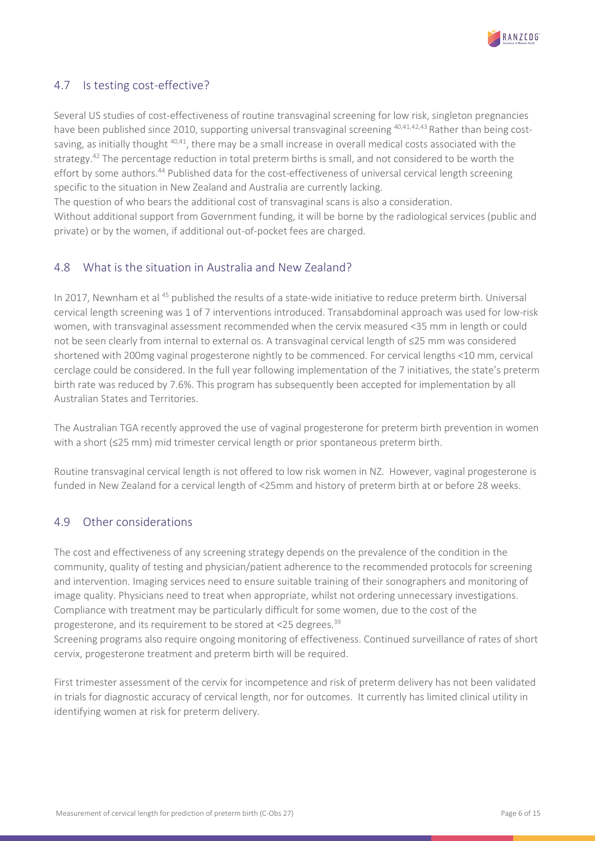

### <span id="page-5-0"></span>4.7 Is testing cost-effective?

Several US studies of cost-effectiveness of routine transvaginal screening for low risk, singleton pregnancies have been published since 2010, supporting universal transvaginal screening <sup>40,41,42,43</sup> Rather than being costsaving, as initially thought <sup>40,41</sup>, there may be a small increase in overall medical costs associated with the strategy.<sup>42</sup> The percentage reduction in total preterm births is small, and not considered to be worth the effort by some authors.<sup>44</sup> Published data for the cost-effectiveness of universal cervical length screening specific to the situation in New Zealand and Australia are currently lacking.

The question of who bears the additional cost of transvaginal scans is also a consideration.

Without additional support from Government funding, it will be borne by the radiological services (public and private) or by the women, if additional out-of-pocket fees are charged.

#### <span id="page-5-1"></span>4.8 What is the situation in Australia and New Zealand?

In 2017, Newnham et al <sup>45</sup> published the results of a state-wide initiative to reduce preterm birth. Universal cervical length screening was 1 of 7 interventions introduced. Transabdominal approach was used for low-risk women, with transvaginal assessment recommended when the cervix measured <35 mm in length or could not be seen clearly from internal to external os. A transvaginal cervical length of ≤25 mm was considered shortened with 200mg vaginal progesterone nightly to be commenced. For cervical lengths <10 mm, cervical cerclage could be considered. In the full year following implementation of the 7 initiatives, the state's preterm birth rate was reduced by 7.6%. This program has subsequently been accepted for implementation by all Australian States and Territories.

The Australian TGA recently approved the use of vaginal progesterone for preterm birth prevention in women with a short (≤25 mm) mid trimester cervical length or prior spontaneous preterm birth.

Routine transvaginal cervical length is not offered to low risk women in NZ. However, vaginal progesterone is funded in New Zealand for a cervical length of <25mm and history of preterm birth at or before 28 weeks.

### <span id="page-5-2"></span>4.9 Other considerations

The cost and effectiveness of any screening strategy depends on the prevalence of the condition in the community, quality of testing and physician/patient adherence to the recommended protocols for screening and intervention. Imaging services need to ensure suitable training of their sonographers and monitoring of image quality. Physicians need to treat when appropriate, whilst not ordering unnecessary investigations. Compliance with treatment may be particularly difficult for some women, due to the cost of the progesterone, and its requirement to be stored at <25 degrees.39

Screening programs also require ongoing monitoring of effectiveness. Continued surveillance of rates of short cervix, progesterone treatment and preterm birth will be required.

First trimester assessment of the cervix for incompetence and risk of preterm delivery has not been validated in trials for diagnostic accuracy of cervical length, nor for outcomes. It currently has limited clinical utility in identifying women at risk for preterm delivery.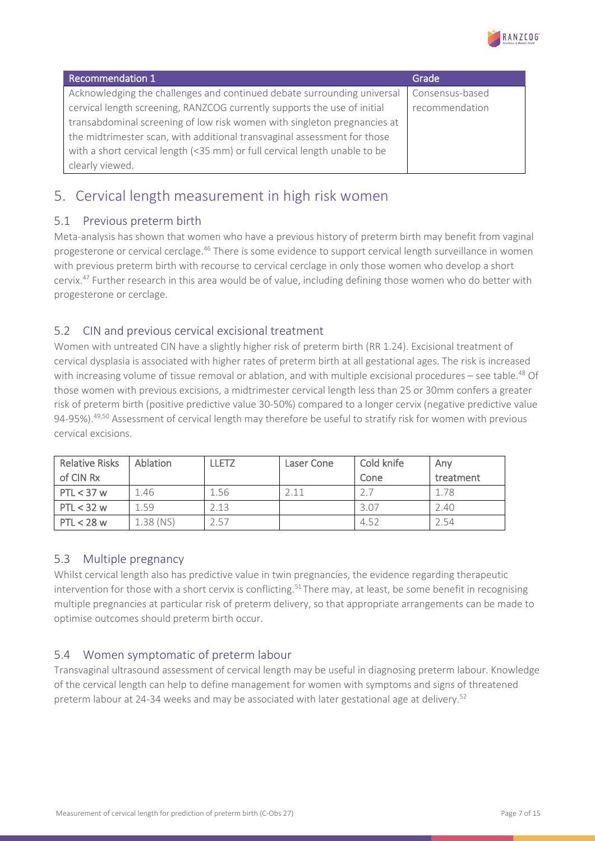

| <b>Recommendation 1</b>                                                    | Grade           |
|----------------------------------------------------------------------------|-----------------|
| Acknowledging the challenges and continued debate surrounding universal    | Consensus-based |
| cervical length screening, RANZCOG currently supports the use of initial   | recommendation  |
| transabdominal screening of low risk women with singleton pregnancies at   |                 |
| the midtrimester scan, with additional transvaginal assessment for those   |                 |
| with a short cervical length (<35 mm) or full cervical length unable to be |                 |
| clearly viewed.                                                            |                 |

# <span id="page-6-0"></span>5. Cervical length measurement in high risk women

### <span id="page-6-1"></span>5.1 Previous preterm birth

Meta-analysis has shown that women who have a previous history of preterm birth may benefit from vaginal progesterone or cervical cerclage.46 There is some evidence to support cervical length surveillance in women with previous preterm birth with recourse to cervical cerclage in only those women who develop a short cervix.47 Further research in this area would be of value, including defining those women who do better with progesterone or cerclage.

#### <span id="page-6-2"></span>5.2 CIN and previous cervical excisional treatment

Women with untreated CIN have a slightly higher risk of preterm birth (RR 1.24). Excisional treatment of cervical dysplasia is associated with higher rates of preterm birth at all gestational ages. The risk is increased with increasing volume of tissue removal or ablation, and with multiple excisional procedures – see table.<sup>48</sup> Of those women with previous excisions, a midtrimester cervical length less than 25 or 30mm confers a greater risk of preterm birth (positive predictive value 30-50%) compared to a longer cervix (negative predictive value 94-95%).<sup>49,50</sup> Assessment of cervical length may therefore be useful to stratify risk for women with previous cervical excisions.

| <b>Relative Risks</b> | <b>Ablation</b> | <b>LLETZ</b> | Laser Cone | Cold knife | Anv       |
|-----------------------|-----------------|--------------|------------|------------|-----------|
| of CIN Rx             |                 |              |            | Cone       | treatment |
| $PTL < 37$ w          | 1.46            | 1.56         | 2 1 1      |            | 1.78      |
| $PTL < 32$ w          | 1.59            | 2.13         |            | 3.07       | 2.40      |
| $PTL < 28$ w          | $1.38$ (NS)     | 2.57         |            | 4.52       | 2.54      |

#### <span id="page-6-3"></span>5.3 Multiple pregnancy

Whilst cervical length also has predictive value in twin pregnancies, the evidence regarding therapeutic intervention for those with a short cervix is conflicting.<sup>51</sup> There may, at least, be some benefit in recognising multiple pregnancies at particular risk of preterm delivery, so that appropriate arrangements can be made to optimise outcomes should preterm birth occur.

### <span id="page-6-4"></span>5.4 Women symptomatic of preterm labour

Transvaginal ultrasound assessment of cervical length may be useful in diagnosing preterm labour. Knowledge of the cervical length can help to define management for women with symptoms and signs of threatened preterm labour at 24-34 weeks and may be associated with later gestational age at delivery.<sup>52</sup>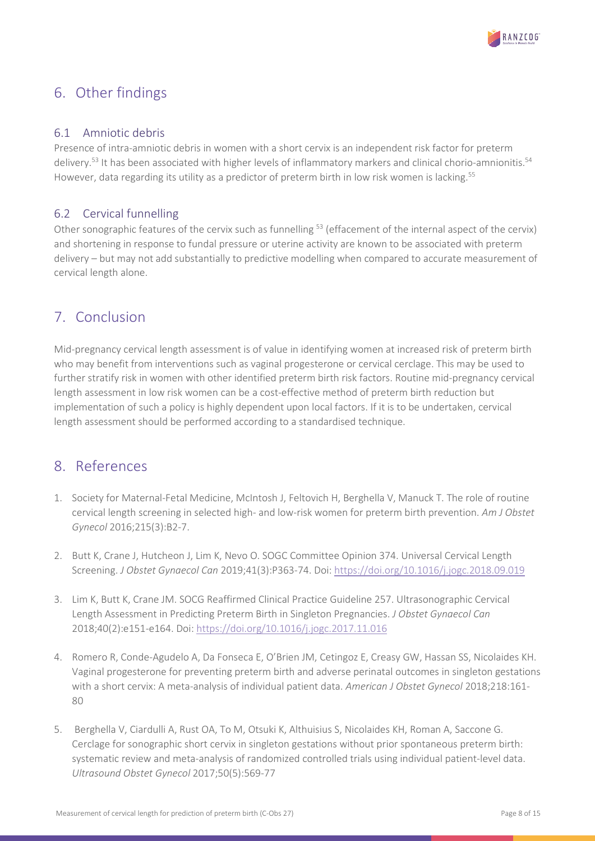

# <span id="page-7-0"></span>6. Other findings

#### <span id="page-7-1"></span>6.1 Amniotic debris

Presence of intra-amniotic debris in women with a short cervix is an independent risk factor for preterm delivery.<sup>53</sup> It has been associated with higher levels of inflammatory markers and clinical chorio-amnionitis.<sup>54</sup> However, data regarding its utility as a predictor of preterm birth in low risk women is lacking.<sup>55</sup>

### <span id="page-7-2"></span>6.2 Cervical funnelling

Other sonographic features of the cervix such as funnelling <sup>53</sup> (effacement of the internal aspect of the cervix) and shortening in response to fundal pressure or uterine activity are known to be associated with preterm delivery – but may not add substantially to predictive modelling when compared to accurate measurement of cervical length alone.

### <span id="page-7-3"></span>7. Conclusion

Mid-pregnancy cervical length assessment is of value in identifying women at increased risk of preterm birth who may benefit from interventions such as vaginal progesterone or cervical cerclage. This may be used to further stratify risk in women with other identified preterm birth risk factors. Routine mid-pregnancy cervical length assessment in low risk women can be a cost-effective method of preterm birth reduction but implementation of such a policy is highly dependent upon local factors. If it is to be undertaken, cervical length assessment should be performed according to a standardised technique.

### <span id="page-7-4"></span>8. References

- 1. Society for Maternal-Fetal Medicine, McIntosh J, Feltovich H, Berghella V, Manuck T. The role of routine cervical length screening in selected high- and low-risk women for preterm birth prevention. *Am J Obstet Gynecol* 2016;215(3):B2-7.
- 2. Butt K, Crane J, Hutcheon J, Lim K, Nevo O. SOGC Committee Opinion 374. Universal Cervical Length Screening. *J Obstet Gynaecol Can* 2019;41(3):P363-74. Doi[: https://doi.org/10.1016/j.jogc.2018.09.019](https://doi.org/10.1016/j.jogc.2018.09.019)
- 3. Lim K, Butt K, Crane JM. SOCG Reaffirmed Clinical Practice Guideline 257. Ultrasonographic Cervical Length Assessment in Predicting Preterm Birth in Singleton Pregnancies. *J Obstet Gynaecol Can* 2018;40(2):e151-e164. Doi[: https://doi.org/10.1016/j.jogc.2017.11.016](https://doi.org/10.1016/j.jogc.2017.11.016)
- 4. Romero R, Conde-Agudelo A, Da Fonseca E, O'Brien JM, Cetingoz E, Creasy GW, Hassan SS, Nicolaides KH. Vaginal progesterone for preventing preterm birth and adverse perinatal outcomes in singleton gestations with a short cervix: A meta-analysis of individual patient data. *American J Obstet Gynecol* 2018;218:161- 80
- 5. Berghella V, Ciardulli A, Rust OA, To M, Otsuki K, Althuisius S, Nicolaides KH, Roman A, Saccone G. Cerclage for sonographic short cervix in singleton gestations without prior spontaneous preterm birth: systematic review and meta-analysis of randomized controlled trials using individual patient-level data. *Ultrasound Obstet Gynecol* 2017;50(5):569-77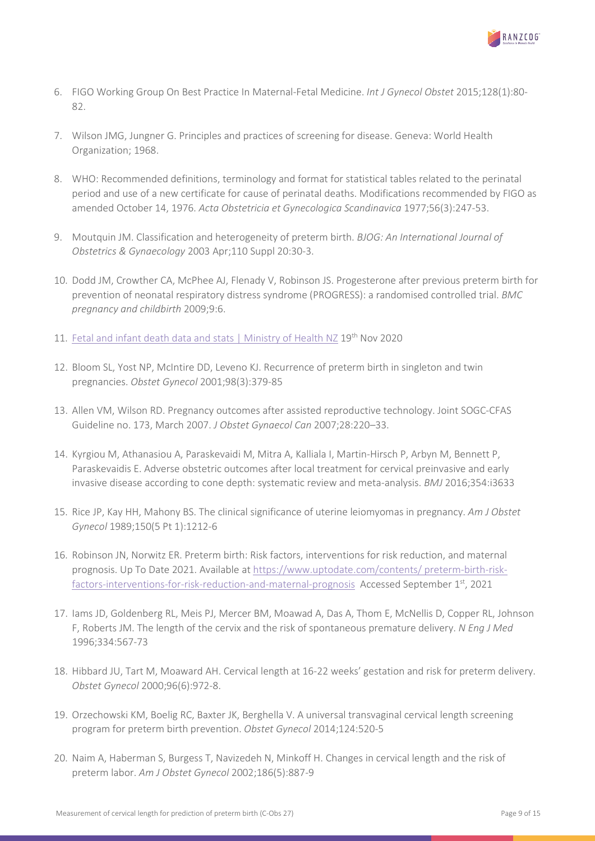

- 6. FIGO Working Group On Best Practice In Maternal-Fetal Medicine. *Int J Gynecol Obstet* 2015;128(1):80- 82.
- 7. Wilson JMG, Jungner G. Principles and practices of screening for disease. Geneva: World Health Organization; 1968.
- 8. WHO: Recommended definitions, terminology and format for statistical tables related to the perinatal period and use of a new certificate for cause of perinatal deaths. Modifications recommended by FIGO as amended October 14, 1976. *Acta Obstetricia et Gynecologica Scandinavica* 1977;56(3):247-53.
- 9. Moutquin JM. Classification and heterogeneity of preterm birth. *BJOG: An International Journal of Obstetrics & Gynaecology* 2003 Apr;110 Suppl 20:30-3.
- 10. Dodd JM, Crowther CA, McPhee AJ, Flenady V, Robinson JS. Progesterone after previous preterm birth for prevention of neonatal respiratory distress syndrome (PROGRESS): a randomised controlled trial. *BMC pregnancy and childbirth* 2009;9:6.
- 11. [Fetal and infant death data and stats | Ministry of Health NZ](https://www.health.govt.nz/nz-health-statistics/health-statistics-and-data-sets/fetal-and-infant-death-data-and-stats) 19<sup>th</sup> Nov 2020
- 12. Bloom SL, Yost NP, McIntire DD, Leveno KJ. Recurrence of preterm birth in singleton and twin pregnancies. *Obstet Gynecol* 2001;98(3):379-85
- 13. Allen VM, Wilson RD. Pregnancy outcomes after assisted reproductive technology. Joint SOGC-CFAS Guideline no. 173, March 2007. *J Obstet Gynaecol Can* 2007;28:220–33.
- 14. Kyrgiou M, Athanasiou A, Paraskevaidi M, Mitra A, Kalliala I, Martin-Hirsch P, Arbyn M, Bennett P, Paraskevaidis E. Adverse obstetric outcomes after local treatment for cervical preinvasive and early invasive disease according to cone depth: systematic review and meta-analysis. *BMJ* 2016;354:i3633
- 15. Rice JP, Kay HH, Mahony BS. The clinical significance of uterine leiomyomas in pregnancy. *Am J Obstet Gynecol* 1989;150(5 Pt 1):1212-6
- 16. Robinson JN, Norwitz ER. Preterm birth: Risk factors, interventions for risk reduction, and maternal prognosis. Up To Date 2021. Available at [https://www.uptodate.com/contents/ preterm-birth-risk](https://www.uptodate.com/contents/%20preterm-birth-risk-factors-interventions-for-risk-reduction-and-maternal-prognosis)[factors-interventions-for-risk-reduction-and-maternal-prognosis](https://www.uptodate.com/contents/%20preterm-birth-risk-factors-interventions-for-risk-reduction-and-maternal-prognosis) Accessed September 1<sup>st</sup>, 2021
- 17. Iams JD, Goldenberg RL, Meis PJ, Mercer BM, Moawad A, Das A, Thom E, McNellis D, Copper RL, Johnson F, Roberts JM. The length of the cervix and the risk of spontaneous premature delivery. *N Eng J Med* 1996;334:567-73
- 18. Hibbard JU, Tart M, Moaward AH. Cervical length at 16-22 weeks' gestation and risk for preterm delivery. *Obstet Gynecol* 2000;96(6):972-8.
- 19. Orzechowski KM, Boelig RC, Baxter JK, Berghella V. A universal transvaginal cervical length screening program for preterm birth prevention. *Obstet Gynecol* 2014;124:520-5
- 20. Naim A, Haberman S, Burgess T, Navizedeh N, Minkoff H. Changes in cervical length and the risk of preterm labor. *Am J Obstet Gynecol* 2002;186(5):887-9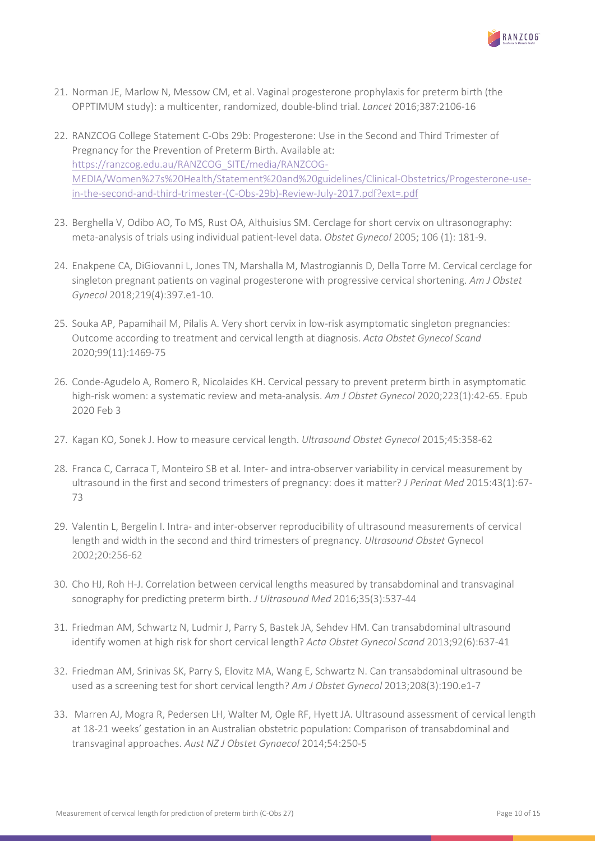

- 21. Norman JE, Marlow N, Messow CM, et al. Vaginal progesterone prophylaxis for preterm birth (the OPPTIMUM study): a multicenter, randomized, double-blind trial. *Lancet* 2016;387:2106-16
- 22. RANZCOG College Statement C-Obs 29b: Progesterone: Use in the Second and Third Trimester of Pregnancy for the Prevention of Preterm Birth. Available at: [https://ranzcog.edu.au/RANZCOG\\_SITE/media/RANZCOG-](https://ranzcog.edu.au/RANZCOG_SITE/media/RANZCOG-MEDIA/Women%27s%20Health/Statement%20and%20guidelines/Clinical-Obstetrics/Progesterone-use-in-the-second-and-third-trimester-(C-Obs-29b)-Review-July-2017.pdf?ext=.pdf)[MEDIA/Women%27s%20Health/Statement%20and%20guidelines/Clinical-Obstetrics/Progesterone-use](https://ranzcog.edu.au/RANZCOG_SITE/media/RANZCOG-MEDIA/Women%27s%20Health/Statement%20and%20guidelines/Clinical-Obstetrics/Progesterone-use-in-the-second-and-third-trimester-(C-Obs-29b)-Review-July-2017.pdf?ext=.pdf)[in-the-second-and-third-trimester-\(C-Obs-29b\)-Review-July-2017.pdf?ext=.pdf](https://ranzcog.edu.au/RANZCOG_SITE/media/RANZCOG-MEDIA/Women%27s%20Health/Statement%20and%20guidelines/Clinical-Obstetrics/Progesterone-use-in-the-second-and-third-trimester-(C-Obs-29b)-Review-July-2017.pdf?ext=.pdf)
- 23. Berghella V, Odibo AO, To MS, Rust OA, Althuisius SM. Cerclage for short cervix on ultrasonography: meta-analysis of trials using individual patient-level data. *Obstet Gynecol* 2005; 106 (1): 181-9.
- 24. Enakpene CA, DiGiovanni L, Jones TN, Marshalla M, Mastrogiannis D, Della Torre M. Cervical cerclage for singleton pregnant patients on vaginal progesterone with progressive cervical shortening. *Am J Obstet Gynecol* 2018;219(4):397.e1-10.
- 25. Souka AP, Papamihail M, Pilalis A. Very short cervix in low-risk asymptomatic singleton pregnancies: Outcome according to treatment and cervical length at diagnosis. *Acta Obstet Gynecol Scand* 2020;99(11):1469-75
- 26. Conde-Agudelo A, Romero R, Nicolaides KH. Cervical pessary to prevent preterm birth in asymptomatic high-risk women: a systematic review and meta-analysis. *Am J Obstet Gynecol* 2020;223(1):42-65. Epub 2020 Feb 3
- 27. Kagan KO, Sonek J. How to measure cervical length. *Ultrasound Obstet Gynecol* 2015;45:358-62
- 28. Franca C, Carraca T, Monteiro SB et al. Inter- and intra-observer variability in cervical measurement by ultrasound in the first and second trimesters of pregnancy: does it matter? *J Perinat Med* 2015:43(1):67- 73
- 29. Valentin L, Bergelin I. Intra- and inter-observer reproducibility of ultrasound measurements of cervical length and width in the second and third trimesters of pregnancy. *Ultrasound Obstet* Gynecol 2002;20:256-62
- 30. Cho HJ, Roh H-J. Correlation between cervical lengths measured by transabdominal and transvaginal sonography for predicting preterm birth. *J Ultrasound Med* 2016;35(3):537-44
- 31. Friedman AM, Schwartz N, Ludmir J, Parry S, Bastek JA, Sehdev HM. Can transabdominal ultrasound identify women at high risk for short cervical length? *Acta Obstet Gynecol Scand* 2013;92(6):637-41
- 32. Friedman AM, Srinivas SK, Parry S, Elovitz MA, Wang E, Schwartz N. Can transabdominal ultrasound be used as a screening test for short cervical length? *Am J Obstet Gynecol* 2013;208(3):190.e1-7
- 33. Marren AJ, Mogra R, Pedersen LH, Walter M, Ogle RF, Hyett JA. Ultrasound assessment of cervical length at 18-21 weeks' gestation in an Australian obstetric population: Comparison of transabdominal and transvaginal approaches. *Aust NZ J Obstet Gynaecol* 2014;54:250-5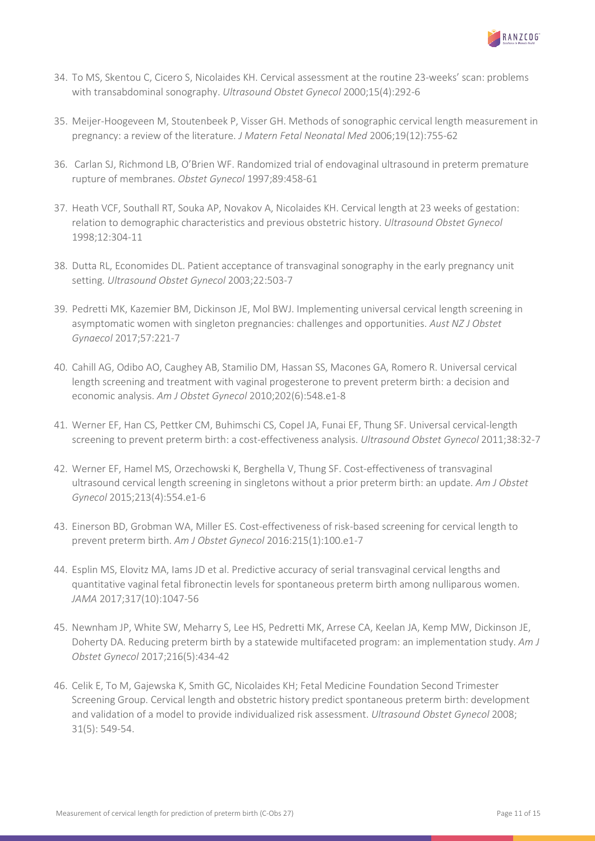

- 34. To MS, Skentou C, Cicero S, Nicolaides KH. Cervical assessment at the routine 23-weeks' scan: problems with transabdominal sonography. *Ultrasound Obstet Gynecol* 2000;15(4):292-6
- 35. Meijer-Hoogeveen M, Stoutenbeek P, Visser GH. Methods of sonographic cervical length measurement in pregnancy: a review of the literature. *J Matern Fetal Neonatal Med* 2006;19(12):755-62
- 36. Carlan SJ, Richmond LB, O'Brien WF. Randomized trial of endovaginal ultrasound in preterm premature rupture of membranes. *Obstet Gynecol* 1997;89:458-61
- 37. Heath VCF, Southall RT, Souka AP, Novakov A, Nicolaides KH. Cervical length at 23 weeks of gestation: relation to demographic characteristics and previous obstetric history. *Ultrasound Obstet Gynecol* 1998;12:304-11
- 38. Dutta RL, Economides DL. Patient acceptance of transvaginal sonography in the early pregnancy unit setting. *Ultrasound Obstet Gynecol* 2003;22:503-7
- 39. Pedretti MK, Kazemier BM, Dickinson JE, Mol BWJ. Implementing universal cervical length screening in asymptomatic women with singleton pregnancies: challenges and opportunities. *Aust NZ J Obstet Gynaecol* 2017;57:221-7
- 40. Cahill AG, Odibo AO, Caughey AB, Stamilio DM, Hassan SS, Macones GA, Romero R. Universal cervical length screening and treatment with vaginal progesterone to prevent preterm birth: a decision and economic analysis. *Am J Obstet Gynecol* 2010;202(6):548.e1-8
- 41. Werner EF, Han CS, Pettker CM, Buhimschi CS, Copel JA, Funai EF, Thung SF. Universal cervical-length screening to prevent preterm birth: a cost-effectiveness analysis. *Ultrasound Obstet Gynecol* 2011;38:32-7
- 42. Werner EF, Hamel MS, Orzechowski K, Berghella V, Thung SF. Cost-effectiveness of transvaginal ultrasound cervical length screening in singletons without a prior preterm birth: an update. *Am J Obstet Gynecol* 2015;213(4):554.e1-6
- 43. Einerson BD, Grobman WA, Miller ES. Cost-effectiveness of risk-based screening for cervical length to prevent preterm birth. *Am J Obstet Gynecol* 2016:215(1):100.e1-7
- 44. Esplin MS, Elovitz MA, Iams JD et al. Predictive accuracy of serial transvaginal cervical lengths and quantitative vaginal fetal fibronectin levels for spontaneous preterm birth among nulliparous women. *JAMA* 2017;317(10):1047-56
- 45. Newnham JP, White SW, Meharry S, Lee HS, Pedretti MK, Arrese CA, Keelan JA, Kemp MW, Dickinson JE, Doherty DA. Reducing preterm birth by a statewide multifaceted program: an implementation study. *Am J Obstet Gynecol* 2017;216(5):434-42
- 46. Celik E, To M, Gajewska K, Smith GC, Nicolaides KH; Fetal Medicine Foundation Second Trimester Screening Group. Cervical length and obstetric history predict spontaneous preterm birth: development and validation of a model to provide individualized risk assessment. *Ultrasound Obstet Gynecol* 2008; 31(5): 549-54.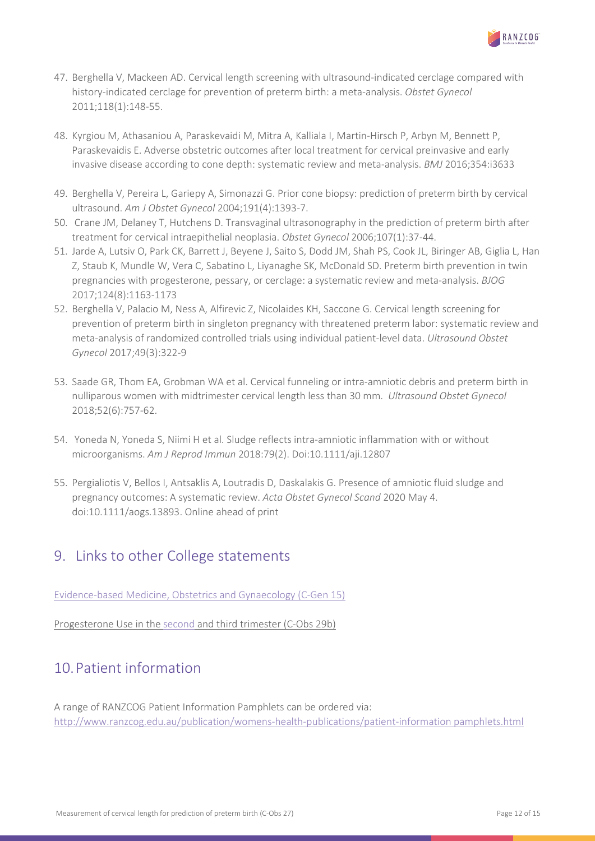

- 47. Berghella V, Mackeen AD. Cervical length screening with ultrasound-indicated cerclage compared with history-indicated cerclage for prevention of preterm birth: a meta-analysis. *Obstet Gynecol* 2011;118(1):148-55.
- 48. Kyrgiou M, Athasaniou A, Paraskevaidi M, Mitra A, Kalliala I, Martin-Hirsch P, Arbyn M, Bennett P, Paraskevaidis E. Adverse obstetric outcomes after local treatment for cervical preinvasive and early invasive disease according to cone depth: systematic review and meta-analysis. *BMJ* 2016;354:i3633
- 49. Berghella V, Pereira L, Gariepy A, Simonazzi G. Prior cone biopsy: prediction of preterm birth by cervical ultrasound. *Am J Obstet Gynecol* 2004;191(4):1393-7.
- 50. Crane JM, Delaney T, Hutchens D. Transvaginal ultrasonography in the prediction of preterm birth after treatment for cervical intraepithelial neoplasia. *Obstet Gynecol* 2006;107(1):37-44.
- 51. Jarde A, Lutsiv O, Park CK, Barrett J, Beyene J, Saito S, Dodd JM, Shah PS, Cook JL, Biringer AB, Giglia L, Han Z, Staub K, Mundle W, Vera C, Sabatino L, Liyanaghe SK, McDonald SD. Preterm birth prevention in twin pregnancies with progesterone, pessary, or cerclage: a systematic review and meta-analysis. *BJOG* 2017;124(8):1163-1173
- 52. Berghella V, Palacio M, Ness A, Alfirevic Z, Nicolaides KH, Saccone G. Cervical length screening for prevention of preterm birth in singleton pregnancy with threatened preterm labor: systematic review and meta-analysis of randomized controlled trials using individual patient-level data. *Ultrasound Obstet Gynecol* 2017;49(3):322-9
- 53. Saade GR, Thom EA, Grobman WA et al. Cervical funneling or intra-amniotic debris and preterm birth in nulliparous women with midtrimester cervical length less than 30 mm. *Ultrasound Obstet Gynecol* 2018;52(6):757-62.
- 54. Yoneda N, Yoneda S, Niimi H et al. Sludge reflects intra-amniotic inflammation with or without microorganisms. *Am J Reprod Immun* 2018:79(2). Doi:10.1111/aji.12807
- 55. Pergialiotis V, Bellos I, Antsaklis A, Loutradis D, Daskalakis G. Presence of amniotic fluid sludge and pregnancy outcomes: A systematic review. *Acta Obstet Gynecol Scand* 2020 May 4. doi:10.1111/aogs.13893. Online ahead of print

### <span id="page-11-0"></span>9. Links to other College statements

[Evidence-based Medicine, Obstetrics and Gynaecology \(C-Gen 15\)](https://ranzcog.edu.au/RANZCOG_SITE/media/RANZCOG-MEDIA/Women%27s%20Health/Statement%20and%20guidelines/Clinical%20-%20General/Evidence-based_Medicine_Obstetrics_and_Gynaecology_(C-Gen-15)-March-2021.pdf?ext=.pdf)

Progesterone Use in the [second](https://ranzcog.edu.au/RANZCOG_SITE/media/RANZCOG-MEDIA/Women%27s%20Health/Statement%20and%20guidelines/Clinical-Obstetrics/Progesterone-use-in-the-second-and-third-trimester-(C-Obs-29b)-Review-July-2017.pdf?ext=.pdf) and third trimester (C-Obs 29b)

# <span id="page-11-1"></span>10.Patient information

A range of RANZCOG Patient Information Pamphlets can be ordered via: [http://www.ranzcog.edu.au/publication/womens-health-publications/patient-information pamphlets.html](http://www.ranzcog.edu.au/publication/womens-health-publications/patient-information%20pamphlets.html)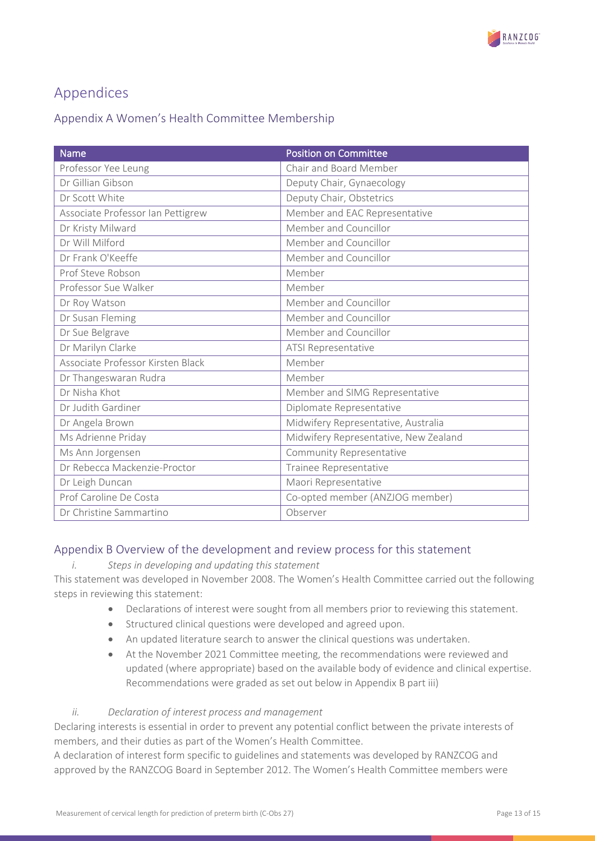

# <span id="page-12-0"></span>Appendices

### <span id="page-12-1"></span>Appendix A Women's Health Committee Membership

| <b>Name</b>                       | <b>Position on Committee</b>          |
|-----------------------------------|---------------------------------------|
| Professor Yee Leung               | Chair and Board Member                |
| Dr Gillian Gibson                 | Deputy Chair, Gynaecology             |
| Dr Scott White                    | Deputy Chair, Obstetrics              |
| Associate Professor Ian Pettigrew | Member and EAC Representative         |
| Dr Kristy Milward                 | Member and Councillor                 |
| Dr Will Milford                   | Member and Councillor                 |
| Dr Frank O'Keeffe                 | Member and Councillor                 |
| Prof Steve Robson                 | Member                                |
| Professor Sue Walker              | Member                                |
| Dr Roy Watson                     | Member and Councillor                 |
| Dr Susan Fleming                  | Member and Councillor                 |
| Dr Sue Belgrave                   | Member and Councillor                 |
| Dr Marilyn Clarke                 | <b>ATSI Representative</b>            |
| Associate Professor Kirsten Black | Member                                |
| Dr Thangeswaran Rudra             | Member                                |
| Dr Nisha Khot                     | Member and SIMG Representative        |
| Dr Judith Gardiner                | Diplomate Representative              |
| Dr Angela Brown                   | Midwifery Representative, Australia   |
| Ms Adrienne Priday                | Midwifery Representative, New Zealand |
| Ms Ann Jorgensen                  | <b>Community Representative</b>       |
| Dr Rebecca Mackenzie-Proctor      | Trainee Representative                |
| Dr Leigh Duncan                   | Maori Representative                  |
| Prof Caroline De Costa            | Co-opted member (ANZJOG member)       |
| Dr Christine Sammartino           | Observer                              |

### <span id="page-12-2"></span>Appendix B Overview of the development and review process for this statement

#### *i. Steps in developing and updating this statement*

This statement was developed in November 2008. The Women's Health Committee carried out the following steps in reviewing this statement:

- Declarations of interest were sought from all members prior to reviewing this statement.
- Structured clinical questions were developed and agreed upon.
- An updated literature search to answer the clinical questions was undertaken.
- At the November 2021 Committee meeting, the recommendations were reviewed and updated (where appropriate) based on the available body of evidence and clinical expertise. Recommendations were graded as set out below in Appendix B part iii)

#### *ii. Declaration of interest process and management*

Declaring interests is essential in order to prevent any potential conflict between the private interests of members, and their duties as part of the Women's Health Committee.

A declaration of interest form specific to guidelines and statements was developed by RANZCOG and approved by the RANZCOG Board in September 2012. The Women's Health Committee members were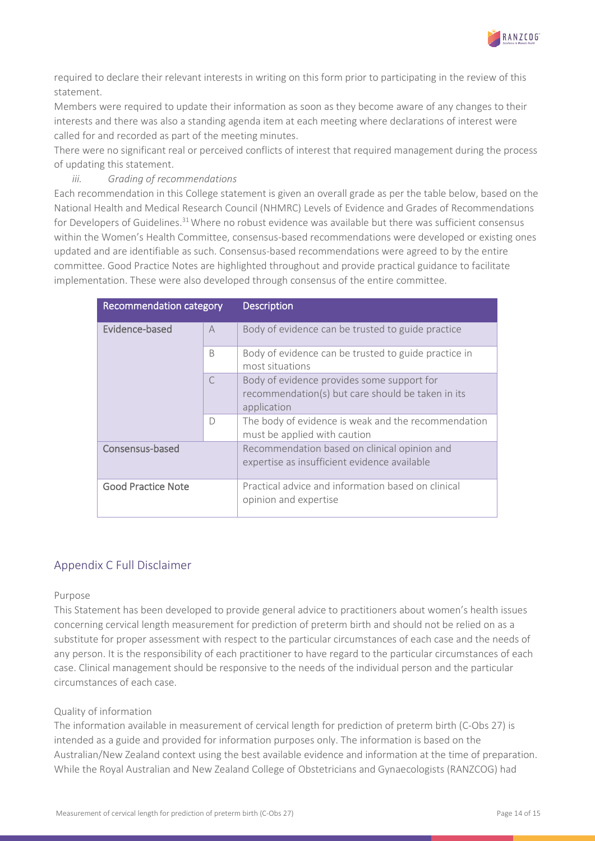

required to declare their relevant interests in writing on this form prior to participating in the review of this statement.

Members were required to update their information as soon as they become aware of any changes to their interests and there was also a standing agenda item at each meeting where declarations of interest were called for and recorded as part of the meeting minutes.

There were no significant real or perceived conflicts of interest that required management during the process of updating this statement.

#### *iii. Grading of recommendations*

Each recommendation in this College statement is given an overall grade as per the table below, based on the National Health and Medical Research Council (NHMRC) Levels of Evidence and Grades of Recommendations for Developers of Guidelines.<sup>31</sup> Where no robust evidence was available but there was sufficient consensus within the Women's Health Committee, consensus-based recommendations were developed or existing ones updated and are identifiable as such. Consensus-based recommendations were agreed to by the entire committee. Good Practice Notes are highlighted throughout and provide practical guidance to facilitate implementation. These were also developed through consensus of the entire committee.

| Recommendation category   |                | <b>Description</b>                                                                                             |
|---------------------------|----------------|----------------------------------------------------------------------------------------------------------------|
| Evidence-based            | $\overline{A}$ | Body of evidence can be trusted to guide practice                                                              |
|                           | <sub>B</sub>   | Body of evidence can be trusted to guide practice in<br>most situations                                        |
|                           | $\subset$      | Body of evidence provides some support for<br>recommendation(s) but care should be taken in its<br>application |
|                           | $\Box$         | The body of evidence is weak and the recommendation<br>must be applied with caution                            |
| Consensus-based           |                | Recommendation based on clinical opinion and<br>expertise as insufficient evidence available                   |
| <b>Good Practice Note</b> |                | Practical advice and information based on clinical<br>opinion and expertise                                    |

#### <span id="page-13-0"></span>Appendix C Full Disclaimer

#### Purpose

This Statement has been developed to provide general advice to practitioners about women's health issues concerning cervical length measurement for prediction of preterm birth and should not be relied on as a substitute for proper assessment with respect to the particular circumstances of each case and the needs of any person. It is the responsibility of each practitioner to have regard to the particular circumstances of each case. Clinical management should be responsive to the needs of the individual person and the particular circumstances of each case.

#### Quality of information

The information available in measurement of cervical length for prediction of preterm birth (C-Obs 27) is intended as a guide and provided for information purposes only. The information is based on the Australian/New Zealand context using the best available evidence and information at the time of preparation. While the Royal Australian and New Zealand College of Obstetricians and Gynaecologists (RANZCOG) had